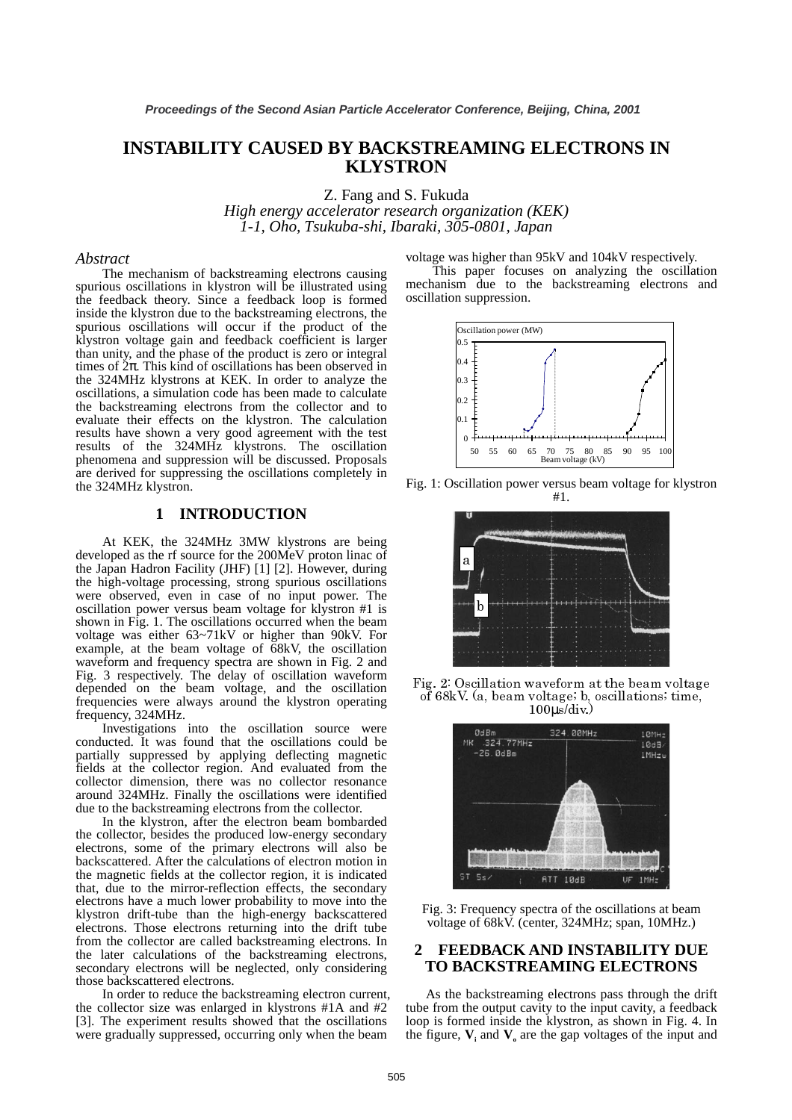# **INSTABILITY CAUSED BY BACKSTREAMING ELECTRONS IN KLYSTRON**

Z. Fang and S. Fukuda *High energy accelerator research organization (KEK) 1-1, Oho, Tsukuba-shi, Ibaraki, 305-0801, Japan*

#### *Abstract*

 The mechanism of backstreaming electrons causing spurious oscillations in klystron will be illustrated using the feedback theory. Since a feedback loop is formed inside the klystron due to the backstreaming electrons, the spurious oscillations will occur if the product of the klystron voltage gain and feedback coefficient is larger than unity, and the phase of the product is zero or integral times of  $2\pi$ . This kind of oscillations has been observed in the 324MHz klystrons at KEK. In order to analyze the oscillations, a simulation code has been made to calculate the backstreaming electrons from the collector and to evaluate their effects on the klystron. The calculation results have shown a very good agreement with the test results of the 324MHz klystrons. The oscillation phenomena and suppression will be discussed. Proposals are derived for suppressing the oscillations completely in the 324MHz klystron.

### **1 INTRODUCTION**

 At KEK, the 324MHz 3MW klystrons are being developed as the rf source for the 200MeV proton linac of the Japan Hadron Facility (JHF) [1] [2]. However, during the high-voltage processing, strong spurious oscillations were observed, even in case of no input power. The oscillation power versus beam voltage for klystron #1 is shown in Fig. 1. The oscillations occurred when the beam voltage was either 63~71kV or higher than 90kV. For example, at the beam voltage of 68kV, the oscillation waveform and frequency spectra are shown in Fig. 2 and Fig. 3 respectively. The delay of oscillation waveform depended on the beam voltage, and the oscillation frequencies were always around the klystron operating frequency, 324MHz.

 Investigations into the oscillation source were conducted. It was found that the oscillations could be partially suppressed by applying deflecting magnetic fields at the collector region. And evaluated from the collector dimension, there was no collector resonance around 324MHz. Finally the oscillations were identified due to the backstreaming electrons from the collector.

 In the klystron, after the electron beam bombarded the collector, besides the produced low-energy secondary electrons, some of the primary electrons will also be backscattered. After the calculations of electron motion in the magnetic fields at the collector region, it is indicated that, due to the mirror-reflection effects, the secondary electrons have a much lower probability to move into the klystron drift-tube than the high-energy backscattered electrons. Those electrons returning into the drift tube from the collector are called backstreaming electrons. In the later calculations of the backstreaming electrons, secondary electrons will be neglected, only considering those backscattered electrons.

 In order to reduce the backstreaming electron current, the collector size was enlarged in klystrons #1A and #2 [3]. The experiment results showed that the oscillations were gradually suppressed, occurring only when the beam

voltage was higher than 95kV and 104kV respectively.

 This paper focuses on analyzing the oscillation mechanism due to the backstreaming electrons and oscillation suppression.







Fig. 2: Oscillation waveform at the beam voltage of 68kV. (a, beam voltage; b, oscillations; time,  $100\mu\text{s}/\text{div.}$ 



Fig. 3: Frequency spectra of the oscillations at beam voltage of 68kV. (center, 324MHz; span, 10MHz.)

### **2 FEEDBACK AND INSTABILITY DUE TO BACKSTREAMING ELECTRONS**

 As the backstreaming electrons pass through the drift tube from the output cavity to the input cavity, a feedback loop is formed inside the klystron, as shown in Fig. 4. In the figure,  $V_i$  and  $V_o$  are the gap voltages of the input and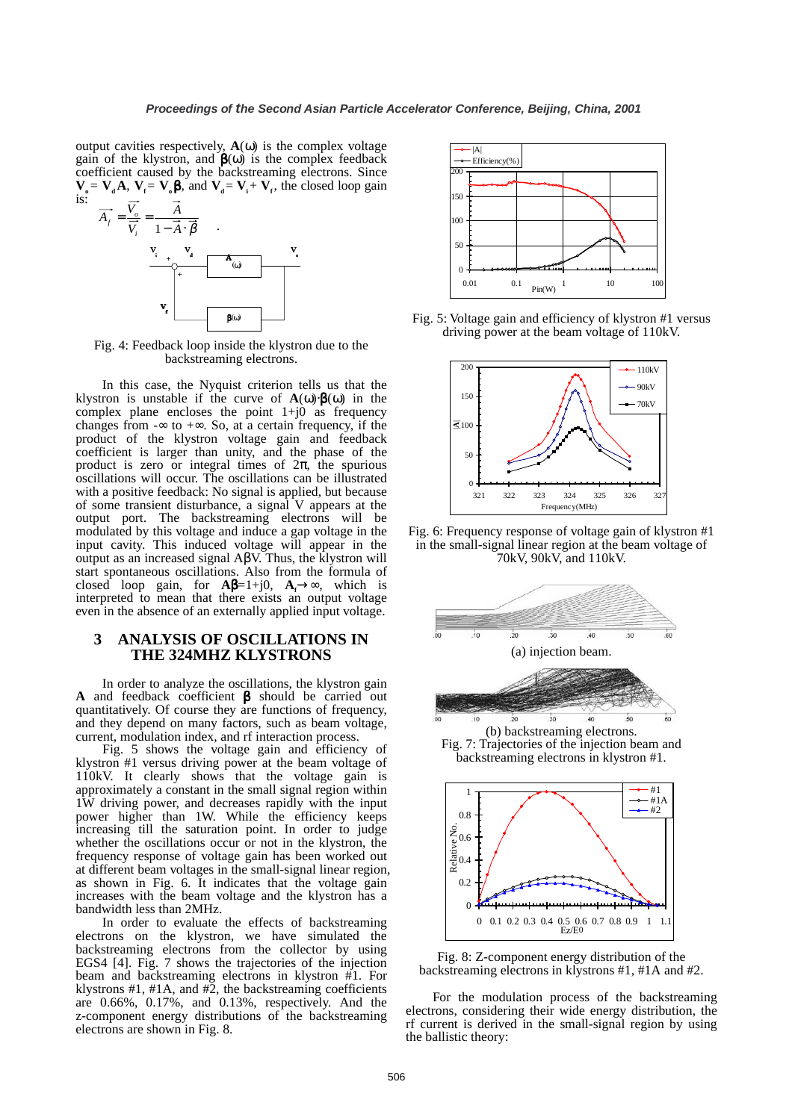output cavities respectively, **A**(ω) is the complex voltage gain of the klystron, and  $\beta(\omega)$  is the complex feedback coefficient caused by the backstreaming electrons. Since  $V_0 = V_d A$ ,  $V_f = V_0 \beta$ , and  $V_d = V_i + V_f$ , the closed loop gain is:



Fig. 4: Feedback loop inside the klystron due to the backstreaming electrons.

 In this case, the Nyquist criterion tells us that the klystron is unstable if the curve of  $\mathbf{A}(\omega) \cdot \mathbf{B}(\omega)$  in the complex plane encloses the point  $1+j0$  as frequency changes from -∞ to +∞. So, at a certain frequency, if the product of the klystron voltage gain and feedback coefficient is larger than unity, and the phase of the product is zero or integral times of  $2\pi$ , the spurious oscillations will occur. The oscillations can be illustrated with a positive feedback: No signal is applied, but because of some transient disturbance, a signal V appears at the output port. The backstreaming electrons will be modulated by this voltage and induce a gap voltage in the input cavity. This induced voltage will appear in the output as an increased signal AβV. Thus, the klystron will start spontaneous oscillations. Also from the formula of closed loop gain, for  $\mathbf{A}\boldsymbol{\beta} = 1 + j0$ ,  $\mathbf{A}_f \rightarrow \infty$ , which is interpreted to mean that there exists an output voltage even in the absence of an externally applied input voltage.

# **3 ANALYSIS OF OSCILLATIONS IN THE 324MHZ KLYSTRONS**

 In order to analyze the oscillations, the klystron gain **A** and feedback coefficient β should be carried out quantitatively. Of course they are functions of frequency, and they depend on many factors, such as beam voltage, current, modulation index, and rf interaction process.

 Fig. 5 shows the voltage gain and efficiency of klystron #1 versus driving power at the beam voltage of 110kV. It clearly shows that the voltage gain is approximately a constant in the small signal region within 1W driving power, and decreases rapidly with the input power higher than 1W. While the efficiency keeps increasing till the saturation point. In order to judge whether the oscillations occur or not in the klystron, the frequency response of voltage gain has been worked out at different beam voltages in the small-signal linear region, as shown in Fig. 6. It indicates that the voltage gain increases with the beam voltage and the klystron has a bandwidth less than 2MHz.

 In order to evaluate the effects of backstreaming electrons on the klystron, we have simulated the backstreaming electrons from the collector by using EGS4 [4]. Fig. 7 shows the trajectories of the injection beam and backstreaming electrons in klystron #1. For klystrons #1, #1A, and #2, the backstreaming coefficients are 0.66%, 0.17%, and 0.13%, respectively. And the z-component energy distributions of the backstreaming electrons are shown in Fig. 8.



Fig. 5: Voltage gain and efficiency of klystron #1 versus driving power at the beam voltage of 110kV.



Fig. 6: Frequency response of voltage gain of klystron #1 in the small-signal linear region at the beam voltage of 70kV, 90kV, and 110kV.



backstreaming electrons in klystron #1.



Fig. 8: Z-component energy distribution of the backstreaming electrons in klystrons #1, #1A and #2.

 For the modulation process of the backstreaming electrons, considering their wide energy distribution, the rf current is derived in the small-signal region by using the ballistic theory: